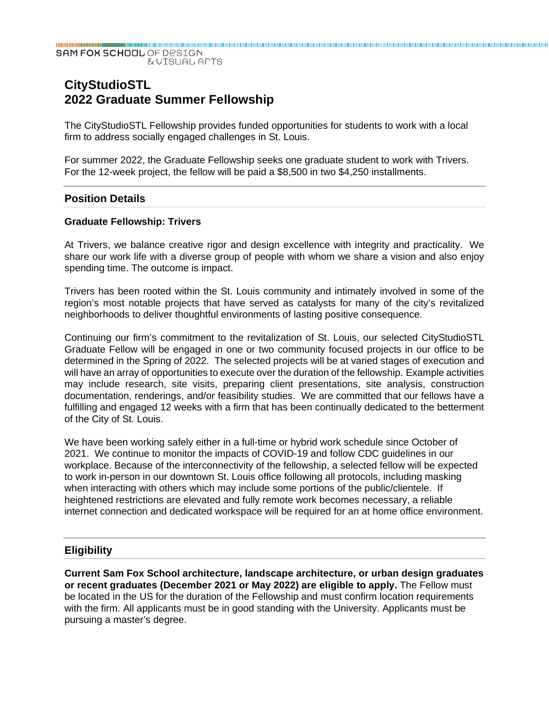SAM FOX SCHOOL OF DESIGN **EVISUAL APTS** 

# **CityStudioSTL 2022 Graduate Summer Fellowship**

The CityStudioSTL Fellowship provides funded opportunities for students to work with a local firm to address socially engaged challenges in St. Louis.

For summer 2022, the Graduate Fellowship seeks one graduate student to work with Trivers. For the 12-week project, the fellow will be paid a \$8,500 in two \$4,250 installments.

#### **Position Details**

#### **Graduate Fellowship: Trivers**

At Trivers, we balance creative rigor and design excellence with integrity and practicality. We share our work life with a diverse group of people with whom we share a vision and also enjoy spending time. The outcome is impact.

Trivers has been rooted within the St. Louis community and intimately involved in some of the region's most notable projects that have served as catalysts for many of the city's revitalized neighborhoods to deliver thoughtful environments of lasting positive consequence.

Continuing our firm's commitment to the revitalization of St. Louis, our selected CityStudioSTL Graduate Fellow will be engaged in one or two community focused projects in our office to be determined in the Spring of 2022. The selected projects will be at varied stages of execution and will have an array of opportunities to execute over the duration of the fellowship. Example activities may include research, site visits, preparing client presentations, site analysis, construction documentation, renderings, and/or feasibility studies. We are committed that our fellows have a fulfilling and engaged 12 weeks with a firm that has been continually dedicated to the betterment of the City of St. Louis.

We have been working safely either in a full-time or hybrid work schedule since October of 2021. We continue to monitor the impacts of COVID-19 and follow CDC guidelines in our workplace. Because of the interconnectivity of the fellowship, a selected fellow will be expected to work in-person in our downtown St. Louis office following all protocols, including masking when interacting with others which may include some portions of the public/clientele. If heightened restrictions are elevated and fully remote work becomes necessary, a reliable internet connection and dedicated workspace will be required for an at home office environment.

#### **Eligibility**

**Current Sam Fox School architecture, landscape architecture, or urban design graduates or recent graduates (December 2021 or May 2022) are eligible to apply.** The Fellow must be located in the US for the duration of the Fellowship and must confirm location requirements with the firm. All applicants must be in good standing with the University. Applicants must be pursuing a master's degree.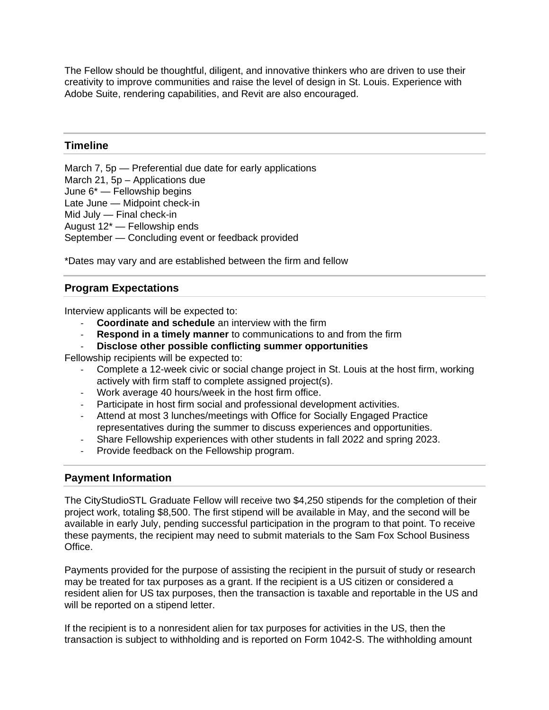The Fellow should be thoughtful, diligent, and innovative thinkers who are driven to use their creativity to improve communities and raise the level of design in St. Louis. Experience with Adobe Suite, rendering capabilities, and Revit are also encouraged.

## **Timeline**

March 7, 5p — Preferential due date for early applications March 21, 5p – Applications due June 6\* — Fellowship begins Late June — Midpoint check-in Mid July — Final check-in August 12\* — Fellowship ends September — Concluding event or feedback provided

\*Dates may vary and are established between the firm and fellow

# **Program Expectations**

Interview applicants will be expected to:

- ‐ **Coordinate and schedule** an interview with the firm
- ‐ **Respond in a timely manner** to communications to and from the firm
- ‐ **Disclose other possible conflicting summer opportunities**

Fellowship recipients will be expected to:

- ‐ Complete a 12-week civic or social change project in St. Louis at the host firm, working actively with firm staff to complete assigned project(s).
- ‐ Work average 40 hours/week in the host firm office.
- ‐ Participate in host firm social and professional development activities.
- ‐ Attend at most 3 lunches/meetings with Office for Socially Engaged Practice representatives during the summer to discuss experiences and opportunities.
- ‐ Share Fellowship experiences with other students in fall 2022 and spring 2023.
- ‐ Provide feedback on the Fellowship program.

### **Payment Information**

The CityStudioSTL Graduate Fellow will receive two \$4,250 stipends for the completion of their project work, totaling \$8,500. The first stipend will be available in May, and the second will be available in early July, pending successful participation in the program to that point. To receive these payments, the recipient may need to submit materials to the Sam Fox School Business Office.

Payments provided for the purpose of assisting the recipient in the pursuit of study or research may be treated for tax purposes as a grant. If the recipient is a US citizen or considered a resident alien for US tax purposes, then the transaction is taxable and reportable in the US and will be reported on a stipend letter.

If the recipient is to a nonresident alien for tax purposes for activities in the US, then the transaction is subject to withholding and is reported on Form 1042-S. The withholding amount